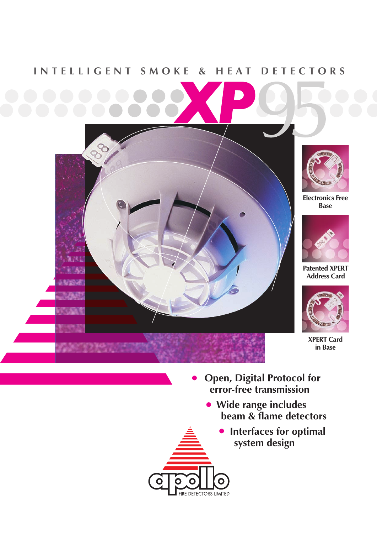## INTELLIGENT SMOKE & HEAT DETECTORS





**Electronics Free Base**



**Patented XPERT Address Card**



**XPERT Card in Base**

● **Open, Digital Protocol for error-free transmission**

**IRE DETECTORS LIMITED** 

- **Wide range includes beam & flame detectors**
	- **Interfaces for optimal system design**